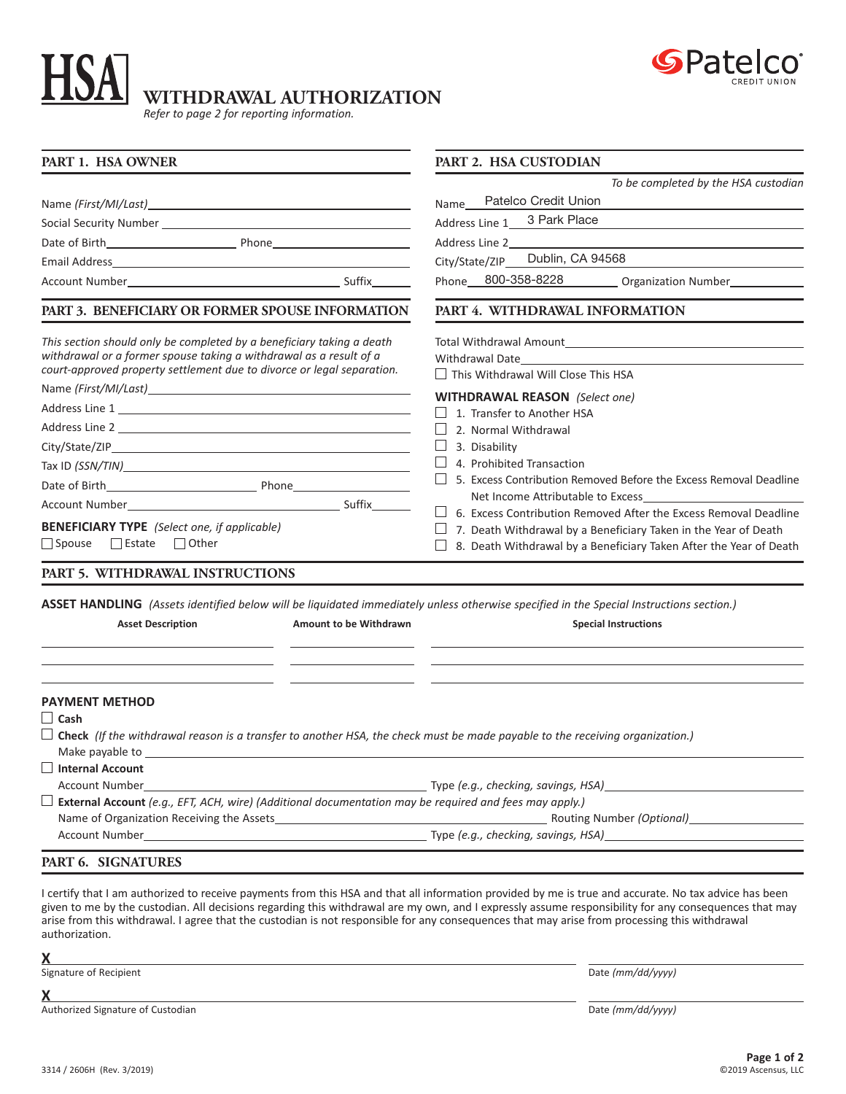

## **WITHDRAWAL AUTHORIZATION**

*Refer to page 2 for reporting information.*

| PART 1. HSA OWNER                                                                                                                                                                                                                                                                                                                                                     | <b>PART 2. HSA CUSTODIAN</b>                                                |
|-----------------------------------------------------------------------------------------------------------------------------------------------------------------------------------------------------------------------------------------------------------------------------------------------------------------------------------------------------------------------|-----------------------------------------------------------------------------|
|                                                                                                                                                                                                                                                                                                                                                                       | To be completed by the HSA custodian                                        |
|                                                                                                                                                                                                                                                                                                                                                                       | Name_Patelco Credit Union                                                   |
|                                                                                                                                                                                                                                                                                                                                                                       | Address Line 1__ 3 Park Place                                               |
|                                                                                                                                                                                                                                                                                                                                                                       |                                                                             |
|                                                                                                                                                                                                                                                                                                                                                                       | City/State/ZIP_ Dublin, CA 94568                                            |
|                                                                                                                                                                                                                                                                                                                                                                       | Phone 800-358-8228 Organization Number                                      |
| PART 3. BENEFICIARY OR FORMER SPOUSE INFORMATION                                                                                                                                                                                                                                                                                                                      | PART 4. WITHDRAWAL INFORMATION                                              |
| This section should only be completed by a beneficiary taking a death                                                                                                                                                                                                                                                                                                 |                                                                             |
| withdrawal or a former spouse taking a withdrawal as a result of a                                                                                                                                                                                                                                                                                                    |                                                                             |
| court-approved property settlement due to divorce or legal separation.                                                                                                                                                                                                                                                                                                | $\Box$ This Withdrawal Will Close This HSA                                  |
|                                                                                                                                                                                                                                                                                                                                                                       | <b>WITHDRAWAL REASON</b> (Select one)                                       |
|                                                                                                                                                                                                                                                                                                                                                                       | 1. Transfer to Another HSA                                                  |
|                                                                                                                                                                                                                                                                                                                                                                       | 2. Normal Withdrawal                                                        |
|                                                                                                                                                                                                                                                                                                                                                                       | ⊔<br>3. Disability                                                          |
|                                                                                                                                                                                                                                                                                                                                                                       | $\Box$ 4. Prohibited Transaction                                            |
|                                                                                                                                                                                                                                                                                                                                                                       | $\Box$<br>5. Excess Contribution Removed Before the Excess Removal Deadline |
|                                                                                                                                                                                                                                                                                                                                                                       |                                                                             |
|                                                                                                                                                                                                                                                                                                                                                                       | $\Box$ 6. Excess Contribution Removed After the Excess Removal Deadline     |
| <b>BENEFICIARY TYPE</b> (Select one, if applicable)                                                                                                                                                                                                                                                                                                                   | $\Box$<br>7. Death Withdrawal by a Beneficiary Taken in the Year of Death   |
| $\Box$ Spouse<br>Estate Other                                                                                                                                                                                                                                                                                                                                         | 8. Death Withdrawal by a Beneficiary Taken After the Year of Death          |
| PART 5. WITHDRAWAL INSTRUCTIONS                                                                                                                                                                                                                                                                                                                                       |                                                                             |
| ASSET HANDLING (Assets identified below will be liquidated immediately unless otherwise specified in the Special Instructions section.)                                                                                                                                                                                                                               |                                                                             |
| <b>Asset Description</b><br>Amount to be Withdrawn                                                                                                                                                                                                                                                                                                                    | <b>Special Instructions</b>                                                 |
|                                                                                                                                                                                                                                                                                                                                                                       |                                                                             |
| <b>PAYMENT METHOD</b><br>$\Box$ Cash                                                                                                                                                                                                                                                                                                                                  |                                                                             |
| $\Box$ Check (If the withdrawal reason is a transfer to another HSA, the check must be made payable to the receiving organization.)<br>Make payable to not be a state of the state of the state of the state of the state of the state of the state of the state of the state of the state of the state of the state of the state of the state of the state of the st |                                                                             |
| $\Box$ Internal Account                                                                                                                                                                                                                                                                                                                                               |                                                                             |
| <b>Account Number</b>                                                                                                                                                                                                                                                                                                                                                 |                                                                             |
| $\Box$ External Account (e.g., EFT, ACH, wire) (Additional documentation may be required and fees may apply.)                                                                                                                                                                                                                                                         |                                                                             |
|                                                                                                                                                                                                                                                                                                                                                                       |                                                                             |
|                                                                                                                                                                                                                                                                                                                                                                       |                                                                             |
|                                                                                                                                                                                                                                                                                                                                                                       |                                                                             |
| PART 6. SIGNATURES                                                                                                                                                                                                                                                                                                                                                    |                                                                             |

I certify that I am authorized to receive payments from this HSA and that all information provided by me is true and accurate. No tax advice has been given to me by the custodian. All decisions regarding this withdrawal are my own, and I expressly assume responsibility for any consequences that may arise from this withdrawal. I agree that the custodian is not responsible for any consequences that may arise from processing this withdrawal authorization.

**X**

Signature of Recipient Date *(mm/dd/yyyy)*

**X**

Authorized Signature of Custodian Date *(mm/dd/yyyy)*